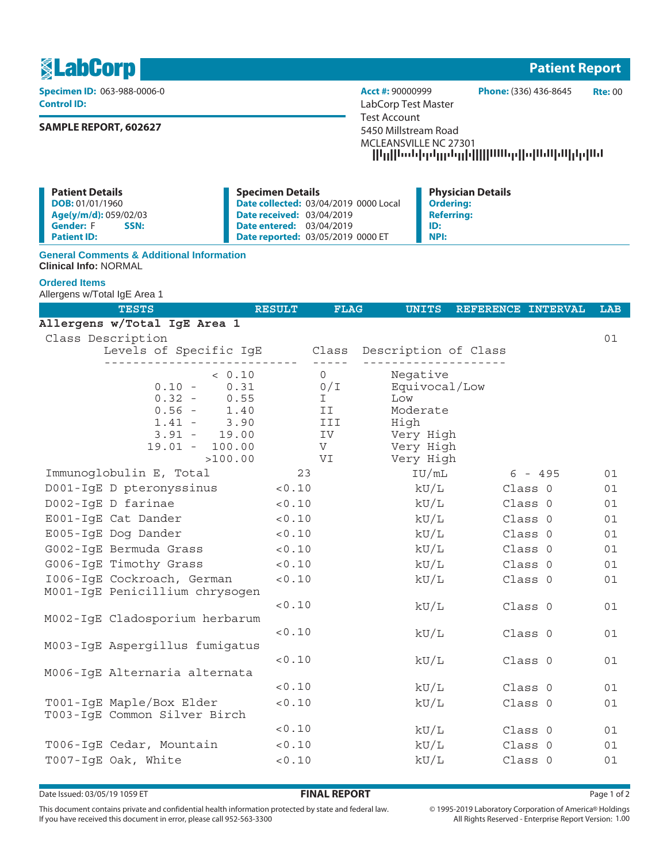1 **Patient Report**

**Control ID:** LabCorp Test Master

# **SAMPLE REPORT, 602627**

**Specimen ID:** 063-988-0006-0 **Acct #:** 90000999 **Phone:** (336) 436-8645 **Rte:** 00 Test Account 5450 Millstream Road MCLEANSVILLE NC 27301 --------------------

| <b>Patient Details</b>   | <b>Specimen Details</b>                      | <b>Physician Details</b> |
|--------------------------|----------------------------------------------|--------------------------|
| DOB: 01/01/1960          | <b>Date collected: 03/04/2019 0000 Local</b> | <b>Ordering:</b>         |
| Age(y/m/d): 059/02/03    | <b>Date received: 03/04/2019</b>             | <b>Referring:</b>        |
| <b>Gender: F</b><br>SSN: | <b>Date entered: 03/04/2019</b>              | ID:                      |
| <b>Patient ID:</b>       | <b>Date reported: 03/05/2019 0000 ET</b>     | NPI:                     |

## **General Comments & Additional Information Clinical Info:** NORMAL

## **Ordered Items**

Allergens w/Total IgE Area 1

| <b>TESTS</b>                                      | <b>RESULT</b> | <b>FLAG</b>         | <b>UNITS</b>           | REFERENCE INTERVAL |           | <b>LAB</b> |
|---------------------------------------------------|---------------|---------------------|------------------------|--------------------|-----------|------------|
| Allergens w/Total IgE Area 1                      |               |                     |                        |                    |           |            |
| Class Description                                 |               |                     |                        |                    |           | 01         |
| Levels of Specific IgE Class Description of Class |               |                     |                        |                    |           |            |
| < 0.10                                            |               | $- - -$<br>$\Omega$ | Negative               |                    |           |            |
| $0.10 -$<br>0.31                                  |               | 0/I                 | Equivocal/Low          |                    |           |            |
| $0.32 -$<br>0.55                                  |               | I.                  | Low                    |                    |           |            |
| $0.56 -$<br>1.40                                  |               | II                  | Moderate               |                    |           |            |
| $1.41 -$<br>3.90                                  |               | III                 | High                   |                    |           |            |
| $3.91 - 19.00$<br>$19.01 - 100.00$                |               | IV<br>V             | Very High<br>Very High |                    |           |            |
| >100.00                                           |               | VI                  | Very High              |                    |           |            |
| Immunoglobulin E, Total                           | 23            |                     | IU/mL                  |                    | $6 - 495$ | 01         |
| D001-IgE D pteronyssinus                          | < 0.10        |                     | kU/L                   | Class 0            |           | 01         |
| D002-IqE D farinae                                | < 0.10        |                     | $\rm kU/L$             | Class 0            |           | 01         |
| E001-IqE Cat Dander                               | < 0.10        |                     | kU/L                   | Class 0            |           | 01         |
| E005-IqE Dog Dander                               | < 0.10        |                     | kU/L                   | Class 0            |           | 01         |
| G002-IqE Bermuda Grass                            | < 0.10        |                     | kU/L                   | Class 0            |           | 01         |
| G006-IgE Timothy Grass                            | < 0.10        |                     | kU/L                   | Class 0            |           | 01         |
| 1006-IgE Cockroach, German                        | 0.10          |                     | kU/L                   | Class 0            |           | 01         |
| M001-IgE Penicillium chrysogen                    |               |                     |                        |                    |           |            |
|                                                   | < 0.10        |                     | kU/L                   | Class 0            |           | 01         |
| M002-IgE Cladosporium herbarum                    |               |                     |                        |                    |           |            |
| M003-IqE Aspergillus fumigatus                    | 0.10          |                     | kU/L                   | Class 0            |           | 01         |
|                                                   | < 0.10        |                     | kU/L                   | Class 0            |           | 01         |
| M006-IgE Alternaria alternata                     |               |                     |                        |                    |           |            |
|                                                   | < 0.10        |                     | kU/L                   | Class 0            |           | 01         |
| T001-IgE Maple/Box Elder                          | < 0.10        |                     | kU/L                   | Class 0            |           | 01         |
| T003-IgE Common Silver Birch                      |               |                     |                        |                    |           |            |
|                                                   | < 0.10        |                     | kU/L                   | Class 0            |           | 01         |
| T006-IgE Cedar, Mountain                          | < 0.10        |                     | kU/L                   | Class 0            |           | 01         |
| T007-IqE Oak, White                               | < 0.10        |                     | kU/L                   | Class 0            |           | 01         |

Date Issued: 03/05/19 1059 ET **FINAL REPORT** Page 1 of 2

This document contains private and confidential health information protected by state and federal law. If you have received this document in error, please call 952-563-3300

 $\circledcirc$  1995-2019 Laboratory Corporation of America  $\circledcirc$  Holdings All Rights Reserved - Enterprise Report Version: 1.00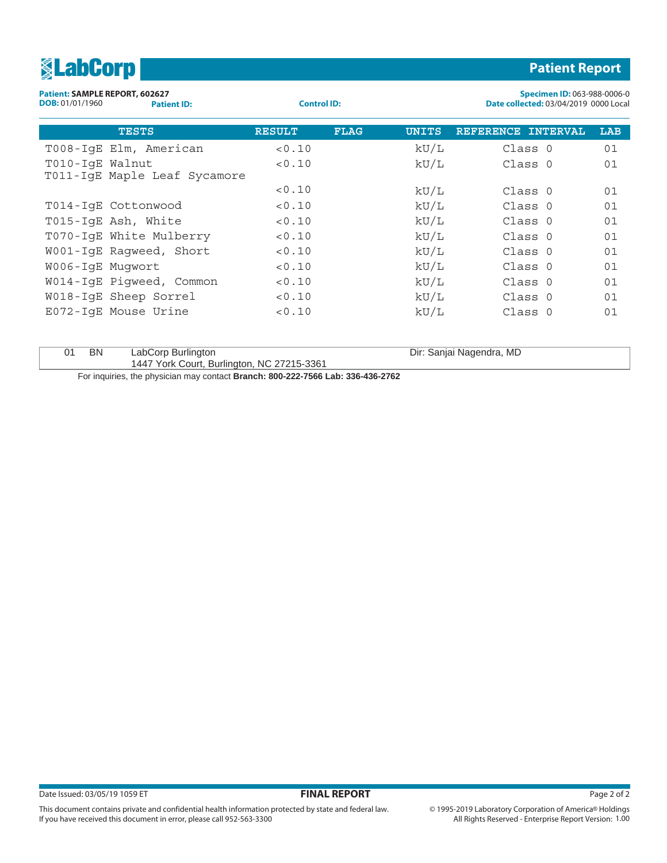| <b>SLabCorp</b>                                                         |                    |               |             |                                                                             |                          | <b>Patient Report</b> |     |
|-------------------------------------------------------------------------|--------------------|---------------|-------------|-----------------------------------------------------------------------------|--------------------------|-----------------------|-----|
| Patient: SAMPLE REPORT, 602627<br>DOB: 01/01/1960<br><b>Patient ID:</b> | <b>Control ID:</b> |               |             | Specimen ID: 063-988-0006-0<br><b>Date collected: 03/04/2019 0000 Local</b> |                          |                       |     |
| <b>TESTS</b>                                                            |                    | <b>RESULT</b> | <b>FLAG</b> | <b>UNITS</b>                                                                | REFERENCE INTERVAL       |                       | LAB |
| T008-IqE Elm, American                                                  |                    | < 0.10        |             | kU/L                                                                        | Class 0                  |                       | 01  |
| T010-IqE Walnut<br>T011-IgE Maple Leaf Sycamore                         |                    | < 0.10        |             | kU/L                                                                        | Class 0                  |                       | 01  |
|                                                                         |                    | < 0.10        |             | kU/L                                                                        | Class 0                  |                       | 01  |
| T014-IgE Cottonwood                                                     |                    | < 0.10        |             | kU/L                                                                        | Class 0                  |                       | 01  |
| T015-IgE Ash, White                                                     |                    | < 0.10        |             | kU/L                                                                        | Class 0                  |                       | 01  |
| T070-IgE White Mulberry                                                 |                    | < 0.10        |             | kU/L                                                                        | Class 0                  |                       | 01  |
| W001-IgE Ragweed, Short                                                 |                    | < 0.10        |             | kU/L                                                                        | Class 0                  |                       | 01  |
| W006-IqE Muqwort                                                        |                    | < 0.10        |             | kU/L                                                                        | Class 0                  |                       | 01  |
| W014-IqE Piqweed, Common                                                |                    | 0.10          |             | kU/L                                                                        | Class 0                  |                       | 01  |
| W018-IqE Sheep Sorrel                                                   |                    | 0.10          |             | kU/L                                                                        | Class 0                  |                       | 01  |
| E072-IgE Mouse Urine                                                    |                    | < 0.10        |             | kU/L                                                                        | Class 0                  |                       | 01  |
| <b>BN</b><br>01                                                         | LabCorp Burlington |               |             |                                                                             | Dir: Sanjai Nagendra, MD |                       |     |

1447 York Court, Burlington, NC 27215-3361

This document contains private and confidential health information protected by state and federal law.

If you have received this document in error, please call 952-563-3300

For inquiries, the physician may contact **Branch: 800-222-7566 Lab: 336-436-2762**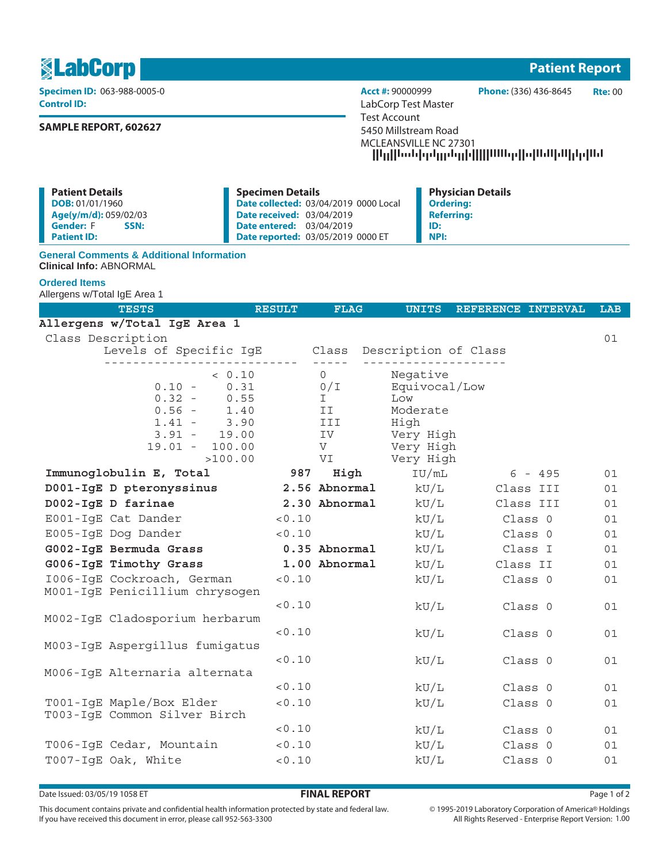1 **Patient Report**

**Control ID:** LabCorp Test Master

# **SAMPLE REPORT, 602627**

**Specimen ID:** 063-988-0005-0 **Acct #:** 90000999 **Phone:** (336) 436-8645 **Rte:** 00 Test Account 5450 Millstream Road MCLEANSVILLE NC 27301 --------------------

| <b>Patient Details</b>   | <b>Specimen Details</b>                      | <b>Physician Details</b> |
|--------------------------|----------------------------------------------|--------------------------|
| DOB: 01/01/1960          | <b>Date collected: 03/04/2019 0000 Local</b> | <b>Ordering:</b>         |
| Age(y/m/d): 059/02/03    | <b>Date received: 03/04/2019</b>             | <b>Referring:</b>        |
| <b>Gender: F</b><br>SSN: | <b>Date entered: 03/04/2019</b>              | ID:                      |
| <b>Patient ID:</b>       | Date reported: 03/05/2019 0000 ET            | NPI:                     |

## **General Comments & Additional Information Clinical Info:** ABNORMAL

### **Ordered Items**

Allergens w/Total IgE Area 1

| <b>TESTS</b>                                      | <b>RESULT</b> | <b>FLAG</b>   | <b>UNITS</b>         | REFERENCE INTERVAL | <b>LAB</b> |
|---------------------------------------------------|---------------|---------------|----------------------|--------------------|------------|
| Allergens w/Total IgE Area 1                      |               |               |                      |                    |            |
| Class Description                                 |               |               |                      |                    | 01         |
| Levels of Specific IgE Class Description of Class |               | $- - - - - -$ |                      |                    |            |
| < 0.10                                            |               | $\Omega$      | Negative             |                    |            |
| 0.31<br>$0.10 -$                                  |               | 0/L           | Equivocal/Low        |                    |            |
| $0.32 - 0.55$                                     |               | T             | Low                  |                    |            |
| $0.56 - 1.40$                                     |               | II            | Moderate             |                    |            |
| $1.41 - 3.90$<br>$3.91 - 19.00$                   |               | III<br>IV     | High<br>Very High    |                    |            |
| $19.01 - 100.00$                                  |               | V             | Very High            |                    |            |
| >100.00                                           |               | VI            | Very High            |                    |            |
| Immunoglobulin E, Total                           | 987           |               | High<br>IU/mL        | $6 - 495$          | 01         |
| D001-IgE D pteronyssinus                          |               |               | 2.56 Abnormal $kU/L$ | Class III          | 01         |
| D002-IgE D farinae                                |               | 2.30 Abnormal | kU/L                 | Class III          | 01         |
| E001-IgE Cat Dander                               | < 0.10        |               | kU/L                 | Class 0            | 01         |
| E005-IgE Dog Dander                               | < 0.10        |               | kU/L                 | Class 0            | 01         |
| G002-IgE Bermuda Grass 0.35 Abnormal              |               |               | kU/L                 | Class I            | 01         |
| G006-IgE Timothy Grass                            |               | 1.00 Abnormal | kU/L                 | Class II           | 01         |
| 1006-IqE Cockroach, German                        | < 0.10        |               | kU/L                 | Class 0            | 01         |
| M001-IgE Penicillium chrysogen                    |               |               |                      |                    |            |
|                                                   | 0.10          |               | kU/L                 | Class 0            | 01         |
| M002-IqE Cladosporium herbarum                    | 0.10          |               |                      |                    |            |
| M003-IqE Aspergillus fumigatus                    |               |               | kU/L                 | Class 0            | 01         |
|                                                   | 0.10          |               | kU/L                 | Class 0            | 01         |
| M006-IgE Alternaria alternata                     |               |               |                      |                    |            |
|                                                   | < 0.10        |               | kU/L                 | Class 0            | 01         |
| T001-IgE Maple/Box Elder                          | 0.10          |               | kU/L                 | Class 0            | 01         |
| T003-IgE Common Silver Birch                      |               |               |                      |                    |            |
|                                                   | < 0.10        |               | kU/L                 | Class 0            | 01         |
| T006-IgE Cedar, Mountain                          | < 0.10        |               | kU/L                 | Class 0            | 01         |
| T007-IqE Oak, White                               | < 0.10        |               | kU/L                 | Class 0            | 01         |

Date Issued: 03/05/19 1058 ET **FINAL REPORT** Page 1 of 2

This document contains private and confidential health information protected by state and federal law. If you have received this document in error, please call 952-563-3300

 $\circledcirc$  1995-2019 Laboratory Corporation of America  $\circledcirc$  Holdings All Rights Reserved - Enterprise Report Version: 1.00